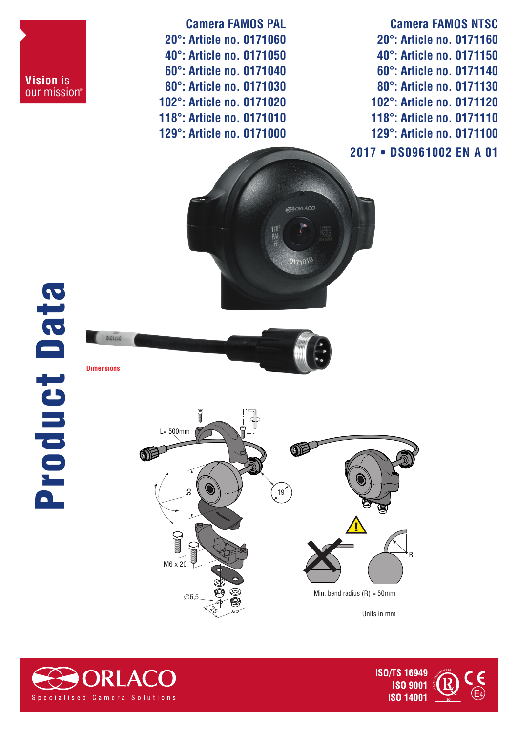